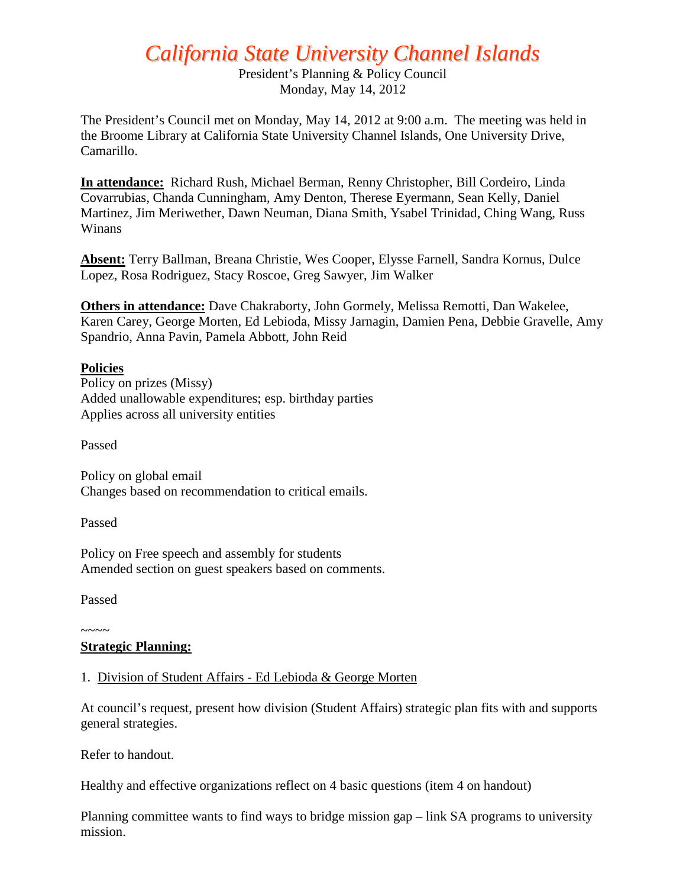# *California State University Channel Islands*

President's Planning & Policy Council Monday, May 14, 2012

The President's Council met on Monday, May 14, 2012 at 9:00 a.m. The meeting was held in the Broome Library at California State University Channel Islands, One University Drive, Camarillo.

**In attendance:** Richard Rush, Michael Berman, Renny Christopher, Bill Cordeiro, Linda Covarrubias, Chanda Cunningham, Amy Denton, Therese Eyermann, Sean Kelly, Daniel Martinez, Jim Meriwether, Dawn Neuman, Diana Smith, Ysabel Trinidad, Ching Wang, Russ Winans

**Absent:** Terry Ballman, Breana Christie, Wes Cooper, Elysse Farnell, Sandra Kornus, Dulce Lopez, Rosa Rodriguez, Stacy Roscoe, Greg Sawyer, Jim Walker

**Others in attendance:** Dave Chakraborty, John Gormely, Melissa Remotti, Dan Wakelee, Karen Carey, George Morten, Ed Lebioda, Missy Jarnagin, Damien Pena, Debbie Gravelle, Amy Spandrio, Anna Pavin, Pamela Abbott, John Reid

## **Policies**

Policy on prizes (Missy) Added unallowable expenditures; esp. birthday parties Applies across all university entities

Passed

Policy on global email Changes based on recommendation to critical emails.

Passed

Policy on Free speech and assembly for students Amended section on guest speakers based on comments.

Passed

#### $\sim\sim\sim\sim$ **Strategic Planning:**

### 1. Division of Student Affairs - Ed Lebioda & George Morten

At council's request, present how division (Student Affairs) strategic plan fits with and supports general strategies.

Refer to handout.

Healthy and effective organizations reflect on 4 basic questions (item 4 on handout)

Planning committee wants to find ways to bridge mission gap – link SA programs to university mission.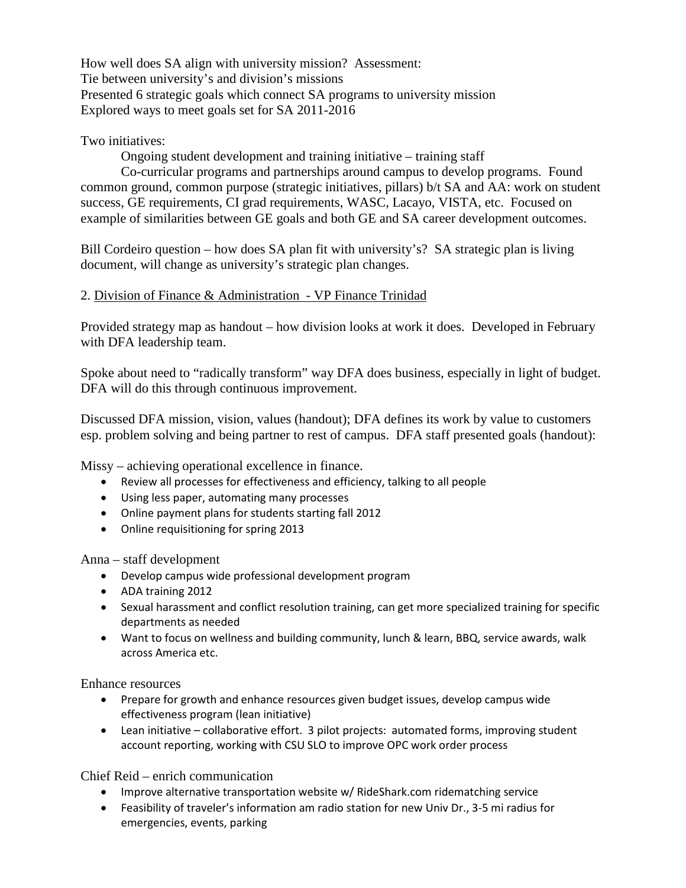How well does SA align with university mission? Assessment: Tie between university's and division's missions Presented 6 strategic goals which connect SA programs to university mission Explored ways to meet goals set for SA 2011-2016

## Two initiatives:

Ongoing student development and training initiative – training staff

Co-curricular programs and partnerships around campus to develop programs. Found common ground, common purpose (strategic initiatives, pillars) b/t SA and AA: work on student success, GE requirements, CI grad requirements, WASC, Lacayo, VISTA, etc. Focused on example of similarities between GE goals and both GE and SA career development outcomes.

Bill Cordeiro question – how does SA plan fit with university's? SA strategic plan is living document, will change as university's strategic plan changes.

## 2. Division of Finance & Administration - VP Finance Trinidad

Provided strategy map as handout – how division looks at work it does. Developed in February with DFA leadership team.

Spoke about need to "radically transform" way DFA does business, especially in light of budget. DFA will do this through continuous improvement.

Discussed DFA mission, vision, values (handout); DFA defines its work by value to customers esp. problem solving and being partner to rest of campus. DFA staff presented goals (handout):

Missy – achieving operational excellence in finance.

- Review all processes for effectiveness and efficiency, talking to all people
- Using less paper, automating many processes
- Online payment plans for students starting fall 2012
- Online requisitioning for spring 2013

Anna – staff development

- Develop campus wide professional development program
- ADA training 2012
- Sexual harassment and conflict resolution training, can get more specialized training for specific departments as needed
- Want to focus on wellness and building community, lunch & learn, BBQ, service awards, walk across America etc.

Enhance resources

- Prepare for growth and enhance resources given budget issues, develop campus wide effectiveness program (lean initiative)
- Lean initiative collaborative effort. 3 pilot projects: automated forms, improving student account reporting, working with CSU SLO to improve OPC work order process

Chief Reid – enrich communication

- Improve alternative transportation website w/ RideShark.com ridematching service
- Feasibility of traveler's information am radio station for new Univ Dr., 3-5 mi radius for emergencies, events, parking